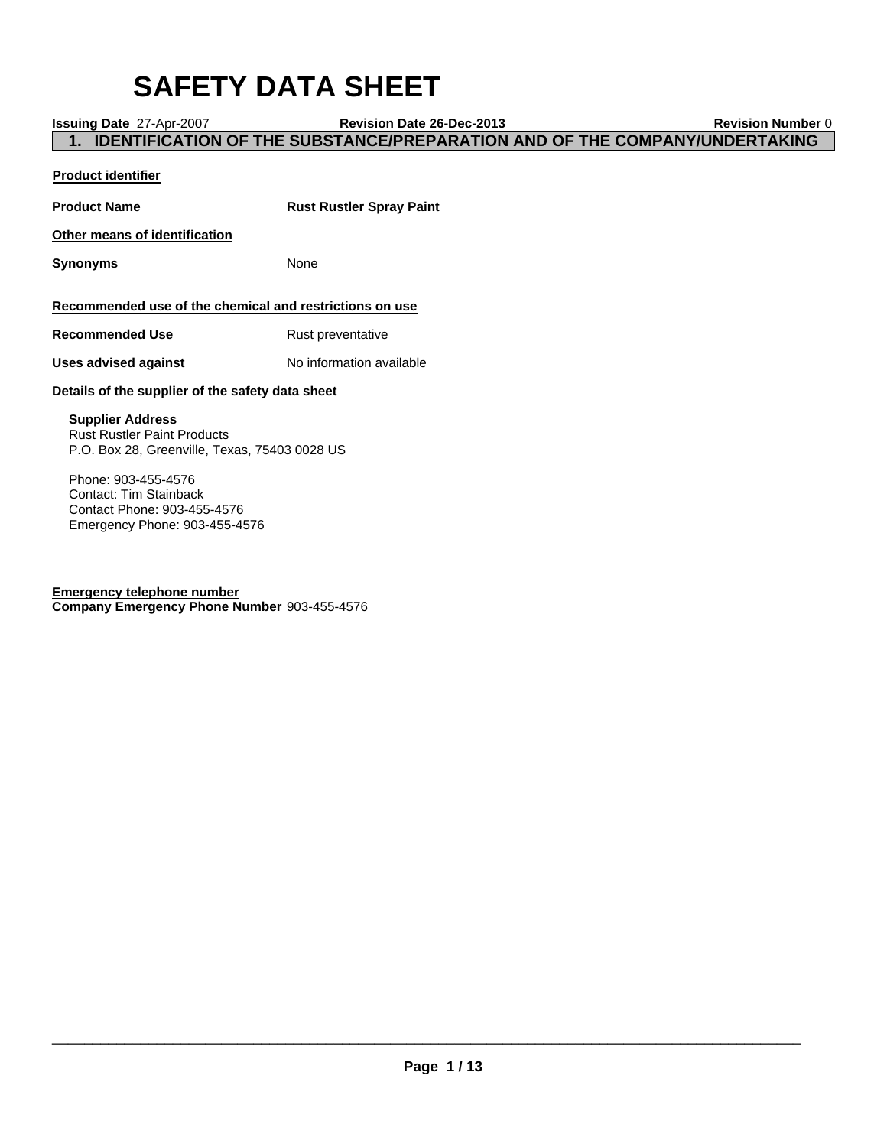# **SAFETY DATA SHEET**

**Issuing Date** 27-Apr-2007 **Revision Date 26-Dec-2013 Revision Number** 0

**1. IDENTIFICATION OF THE SUBSTANCE/PREPARATION AND OF THE COMPANY/UNDERTAKING**

# **Product identifier**

**Product Name Rust Rustler Spray Paint Other means of identification Synonyms** None **Recommended use of the chemical and restrictions on use Recommended Use** Rust preventative **Uses advised against** No information available **Details of the supplier of the safety data sheet Supplier Address** Rust Rustler Paint Products P.O. Box 28, Greenville, Texas, 75403 0028 US Phone: 903-455-4576

Contact: Tim Stainback Contact Phone: 903-455-4576 Emergency Phone: 903-455-4576

**Emergency telephone number Company Emergency Phone Number** 903-455-4576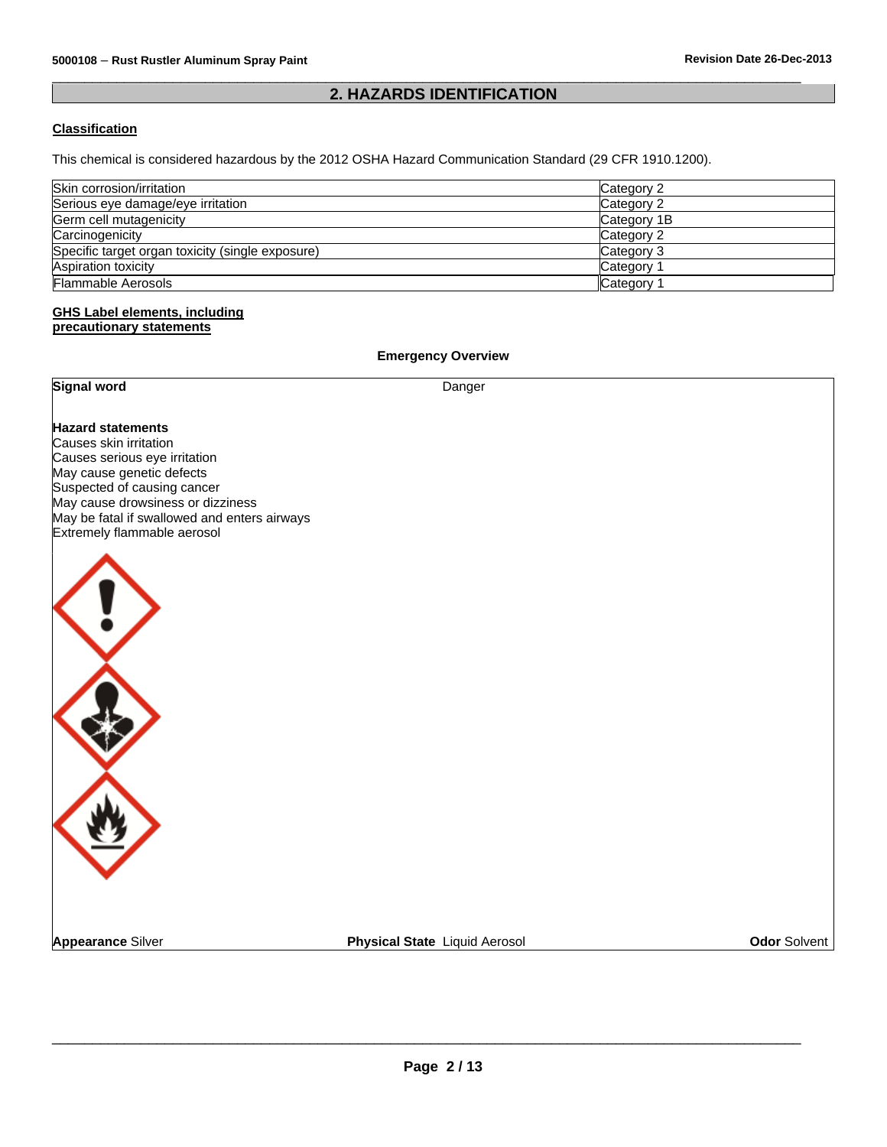# **2. HAZARDS IDENTIFICATION**

 $\overline{\phantom{a}}$  , and the set of the set of the set of the set of the set of the set of the set of the set of the set of the set of the set of the set of the set of the set of the set of the set of the set of the set of the s

# **Classification**

This chemical is considered hazardous by the 2012 OSHA Hazard Communication Standard (29 CFR 1910.1200).

| Skin corrosion/irritation                        | Category 2            |
|--------------------------------------------------|-----------------------|
| Serious eye damage/eye irritation                | Category 2            |
| Germ cell mutagenicity                           | Category 1B           |
| Carcinogenicity                                  | Category 2            |
| Specific target organ toxicity (single exposure) | Category 3            |
| <b>Aspiration toxicity</b>                       | Category <sup>-</sup> |
| <b>Flammable Aerosols</b>                        | llCategory∶           |

#### **GHS Label elements, including precautionary statements**

**Emergency Overview Signal word** Danger **Hazard statements** Causes skin irritation Causes serious eye irritation May cause genetic defects Suspected of causing cancer May cause drowsiness or dizziness May be fatal if swallowed and enters airways Extremely flammable aerosol **Appearance** Silver **Physical State** Liquid Aerosol **Odor** Solvent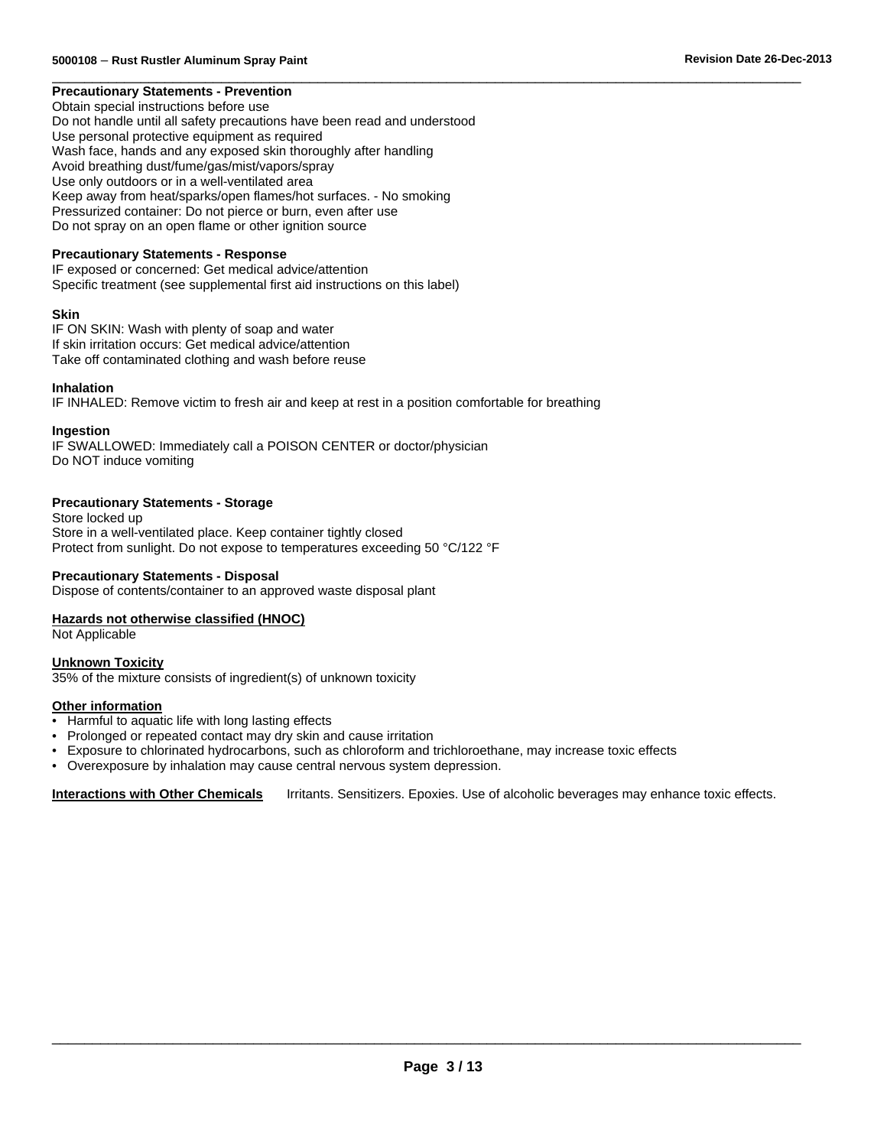#### $\overline{\phantom{a}}$  , and the set of the set of the set of the set of the set of the set of the set of the set of the set of the set of the set of the set of the set of the set of the set of the set of the set of the set of the s **Precautionary Statements - Prevention**

Obtain special instructions before use Do not handle until all safety precautions have been read and understood Use personal protective equipment as required Wash face, hands and any exposed skin thoroughly after handling Avoid breathing dust/fume/gas/mist/vapors/spray Use only outdoors or in a well-ventilated area Keep away from heat/sparks/open flames/hot surfaces. - No smoking Pressurized container: Do not pierce or burn, even after use Do not spray on an open flame or other ignition source

#### **Precautionary Statements - Response**

IF exposed or concerned: Get medical advice/attention Specific treatment (see supplemental first aid instructions on this label)

#### **Skin**

IF ON SKIN: Wash with plenty of soap and water If skin irritation occurs: Get medical advice/attention Take off contaminated clothing and wash before reuse

#### **Inhalation**

IF INHALED: Remove victim to fresh air and keep at rest in a position comfortable for breathing

#### **Ingestion**

IF SWALLOWED: Immediately call a POISON CENTER or doctor/physician Do NOT induce vomiting

#### **Precautionary Statements - Storage**

Store locked up Store in a well-ventilated place. Keep container tightly closed Protect from sunlight. Do not expose to temperatures exceeding 50 °C/122 °F

#### **Precautionary Statements - Disposal**

Dispose of contents/container to an approved waste disposal plant

#### **Hazards not otherwise classified (HNOC)**

Not Applicable

#### **Unknown Toxicity** 35% of the mixture consists of ingredient(s) of unknown toxicity

#### **Other information**

- Harmful to aquatic life with long lasting effects
- Prolonged or repeated contact may dry skin and cause irritation
- Exposure to chlorinated hydrocarbons, such as chloroform and trichloroethane, may increase toxic effects
- Overexposure by inhalation may cause central nervous system depression.

**Interactions with Other Chemicals** Irritants. Sensitizers. Epoxies. Use of alcoholic beverages may enhance toxic effects.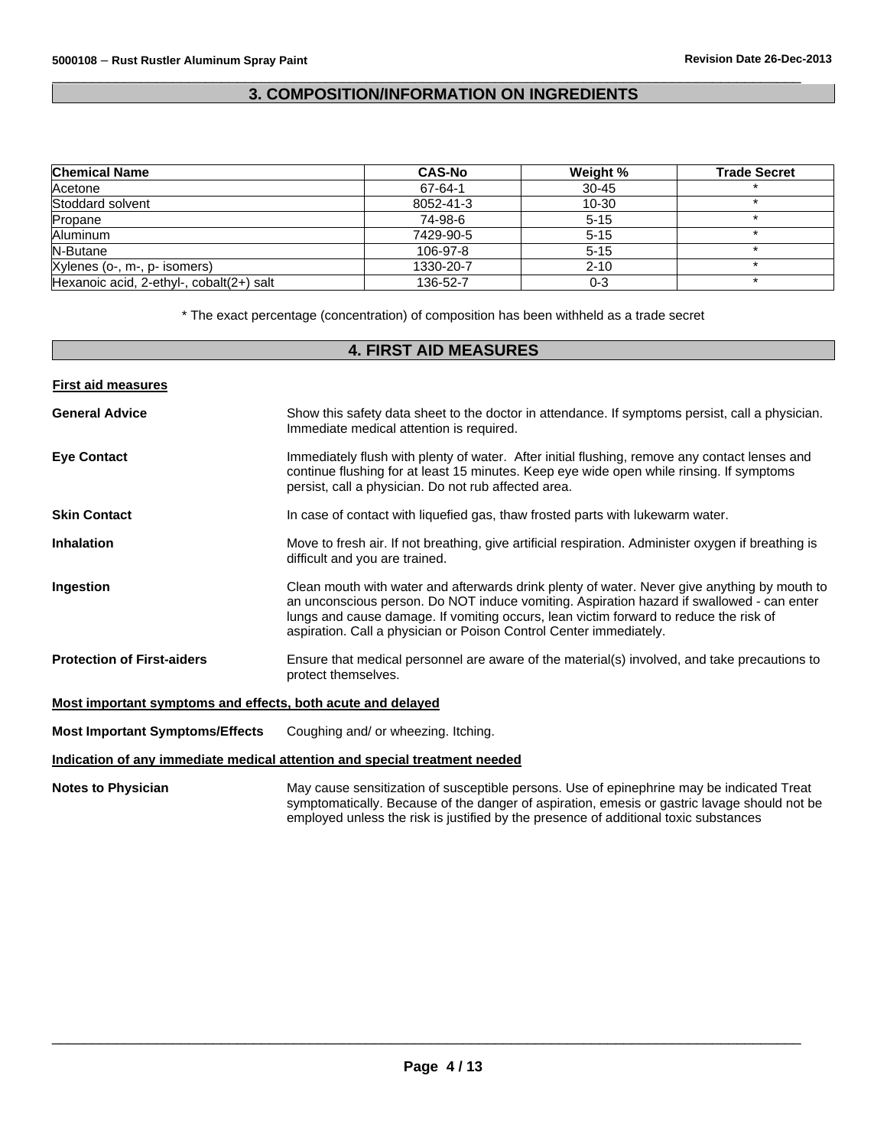# $\overline{\phantom{a}}$  , and the set of the set of the set of the set of the set of the set of the set of the set of the set of the set of the set of the set of the set of the set of the set of the set of the set of the set of the s **3. COMPOSITION/INFORMATION ON INGREDIENTS**

| <b>Chemical Name</b>                     | <b>CAS-No</b> | Weight %  | <b>Trade Secret</b> |
|------------------------------------------|---------------|-----------|---------------------|
| Acetone                                  | 67-64-1       | $30 - 45$ |                     |
| Stoddard solvent                         | 8052-41-3     | $10 - 30$ |                     |
| Propane                                  | 74-98-6       | $5 - 15$  |                     |
| Aluminum                                 | 7429-90-5     | $5 - 15$  |                     |
| N-Butane                                 | 106-97-8      | $5 - 15$  |                     |
| Xylenes (o-, m-, p- isomers)             | 1330-20-7     | $2 - 10$  |                     |
| Hexanoic acid, 2-ethyl-, cobalt(2+) salt | 136-52-7      | $0 - 3$   |                     |

\* The exact percentage (concentration) of composition has been withheld as a trade secret

# **4. FIRST AID MEASURES**

| <b>First aid measures</b>                                   |                                                                                                                                                                                                                                                                                                                                                          |
|-------------------------------------------------------------|----------------------------------------------------------------------------------------------------------------------------------------------------------------------------------------------------------------------------------------------------------------------------------------------------------------------------------------------------------|
| <b>General Advice</b>                                       | Show this safety data sheet to the doctor in attendance. If symptoms persist, call a physician.<br>Immediate medical attention is required.                                                                                                                                                                                                              |
| <b>Eve Contact</b>                                          | Immediately flush with plenty of water. After initial flushing, remove any contact lenses and<br>continue flushing for at least 15 minutes. Keep eye wide open while rinsing. If symptoms<br>persist, call a physician. Do not rub affected area.                                                                                                        |
| <b>Skin Contact</b>                                         | In case of contact with liquefied gas, thaw frosted parts with lukewarm water.                                                                                                                                                                                                                                                                           |
| <b>Inhalation</b>                                           | Move to fresh air. If not breathing, give artificial respiration. Administer oxygen if breathing is<br>difficult and you are trained.                                                                                                                                                                                                                    |
| Ingestion                                                   | Clean mouth with water and afterwards drink plenty of water. Never give anything by mouth to<br>an unconscious person. Do NOT induce vomiting. Aspiration hazard if swallowed - can enter<br>lungs and cause damage. If vomiting occurs, lean victim forward to reduce the risk of<br>aspiration. Call a physician or Poison Control Center immediately. |
| <b>Protection of First-aiders</b>                           | Ensure that medical personnel are aware of the material(s) involved, and take precautions to<br>protect themselves.                                                                                                                                                                                                                                      |
| Most important symptoms and effects, both acute and delayed |                                                                                                                                                                                                                                                                                                                                                          |
| <b>Most Important Symptoms/Effects</b>                      | Coughing and/ or wheezing. Itching.                                                                                                                                                                                                                                                                                                                      |
|                                                             | Indication of any immediate medical attention and special treatment needed                                                                                                                                                                                                                                                                               |
| <b>Notes to Physician</b>                                   | May cause sensitization of susceptible persons. Use of epinephrine may be indicated Treat<br>symptomatically. Because of the danger of aspiration, emesis or gastric lavage should not be<br>employed unless the risk is justified by the presence of additional toxic substances                                                                        |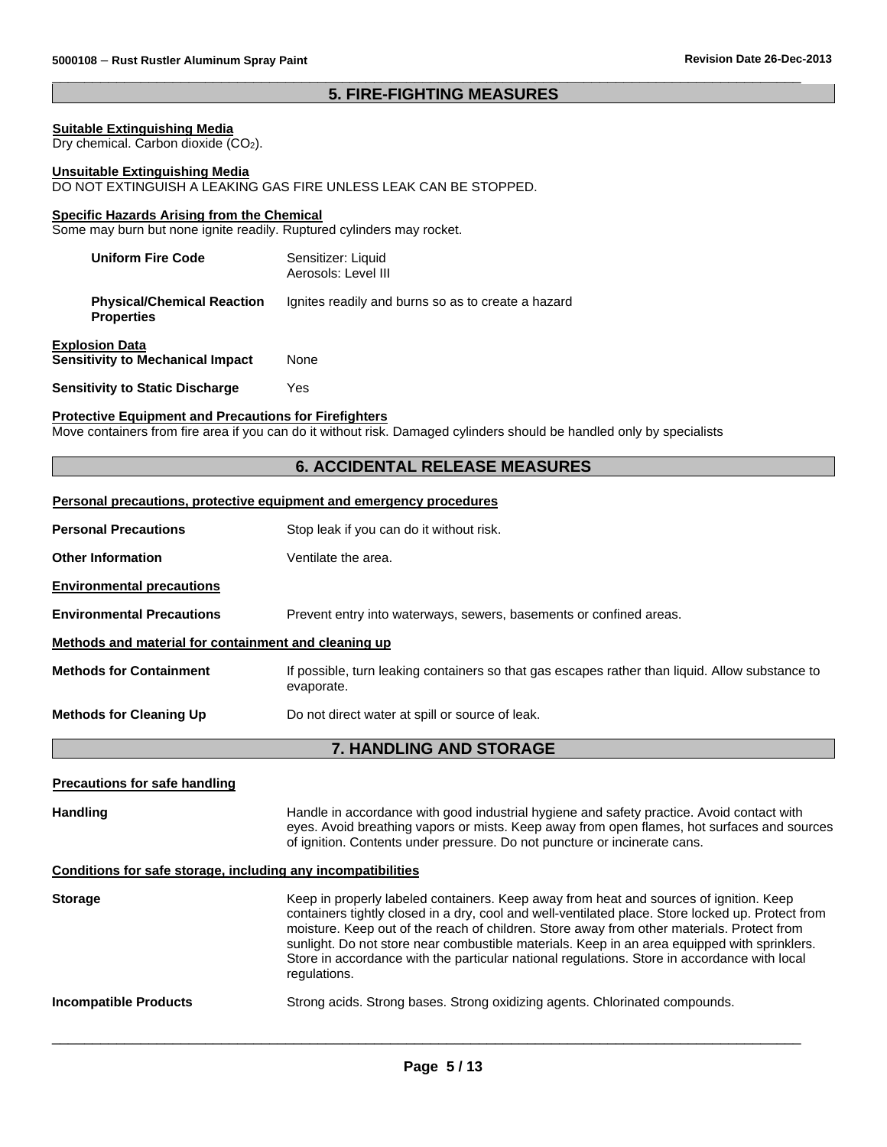# **5. FIRE-FIGHTING MEASURES**

 $\overline{\phantom{a}}$  , and the set of the set of the set of the set of the set of the set of the set of the set of the set of the set of the set of the set of the set of the set of the set of the set of the set of the set of the s

#### **Suitable Extinguishing Media**

Dry chemical. Carbon dioxide (CO<sub>2</sub>).

#### **Unsuitable Extinguishing Media**

DO NOT EXTINGUISH A LEAKING GAS FIRE UNLESS LEAK CAN BE STOPPED.

### **Specific Hazards Arising from the Chemical**

Some may burn but none ignite readily. Ruptured cylinders may rocket.

| <b>Uniform Fire Code</b>                               | Sensitizer: Liquid<br>Aerosols: Level III          |
|--------------------------------------------------------|----------------------------------------------------|
| <b>Physical/Chemical Reaction</b><br><b>Properties</b> | Ignites readily and burns so as to create a hazard |

| <b>Explosion Data</b>                   |      |
|-----------------------------------------|------|
| <b>Sensitivity to Mechanical Impact</b> | None |
|                                         |      |

**Sensitivity to Static Discharge** Yes

#### **Protective Equipment and Precautions for Firefighters**

Move containers from fire area if you can do it without risk. Damaged cylinders should be handled only by specialists

#### **6. ACCIDENTAL RELEASE MEASURES**

#### **Personal precautions, protective equipment and emergency procedures**

| <b>Personal Precautions</b>                          | Stop leak if you can do it without risk.                                                                      |
|------------------------------------------------------|---------------------------------------------------------------------------------------------------------------|
| <b>Other Information</b>                             | Ventilate the area.                                                                                           |
| <b>Environmental precautions</b>                     |                                                                                                               |
| <b>Environmental Precautions</b>                     | Prevent entry into waterways, sewers, basements or confined areas.                                            |
| Methods and material for containment and cleaning up |                                                                                                               |
| <b>Methods for Containment</b>                       | If possible, turn leaking containers so that gas escapes rather than liquid. Allow substance to<br>evaporate. |
| <b>Methods for Cleaning Up</b>                       | Do not direct water at spill or source of leak.                                                               |

# **7. HANDLING AND STORAGE**

#### **Precautions for safe handling**

| <b>Handling</b>                                              | Handle in accordance with good industrial hygiene and safety practice. Avoid contact with<br>eyes. Avoid breathing vapors or mists. Keep away from open flames, hot surfaces and sources<br>of ignition. Contents under pressure. Do not puncture or incinerate cans.                                                                                                                                                                                                                     |
|--------------------------------------------------------------|-------------------------------------------------------------------------------------------------------------------------------------------------------------------------------------------------------------------------------------------------------------------------------------------------------------------------------------------------------------------------------------------------------------------------------------------------------------------------------------------|
| Conditions for safe storage, including any incompatibilities |                                                                                                                                                                                                                                                                                                                                                                                                                                                                                           |
| <b>Storage</b>                                               | Keep in properly labeled containers. Keep away from heat and sources of ignition. Keep<br>containers tightly closed in a dry, cool and well-ventilated place. Store locked up. Protect from<br>moisture. Keep out of the reach of children. Store away from other materials. Protect from<br>sunlight. Do not store near combustible materials. Keep in an area equipped with sprinklers.<br>Store in accordance with the particular national regulations. Store in accordance with local |

# regulations. **Incompatible Products** Strong acids. Strong bases. Strong oxidizing agents. Chlorinated compounds.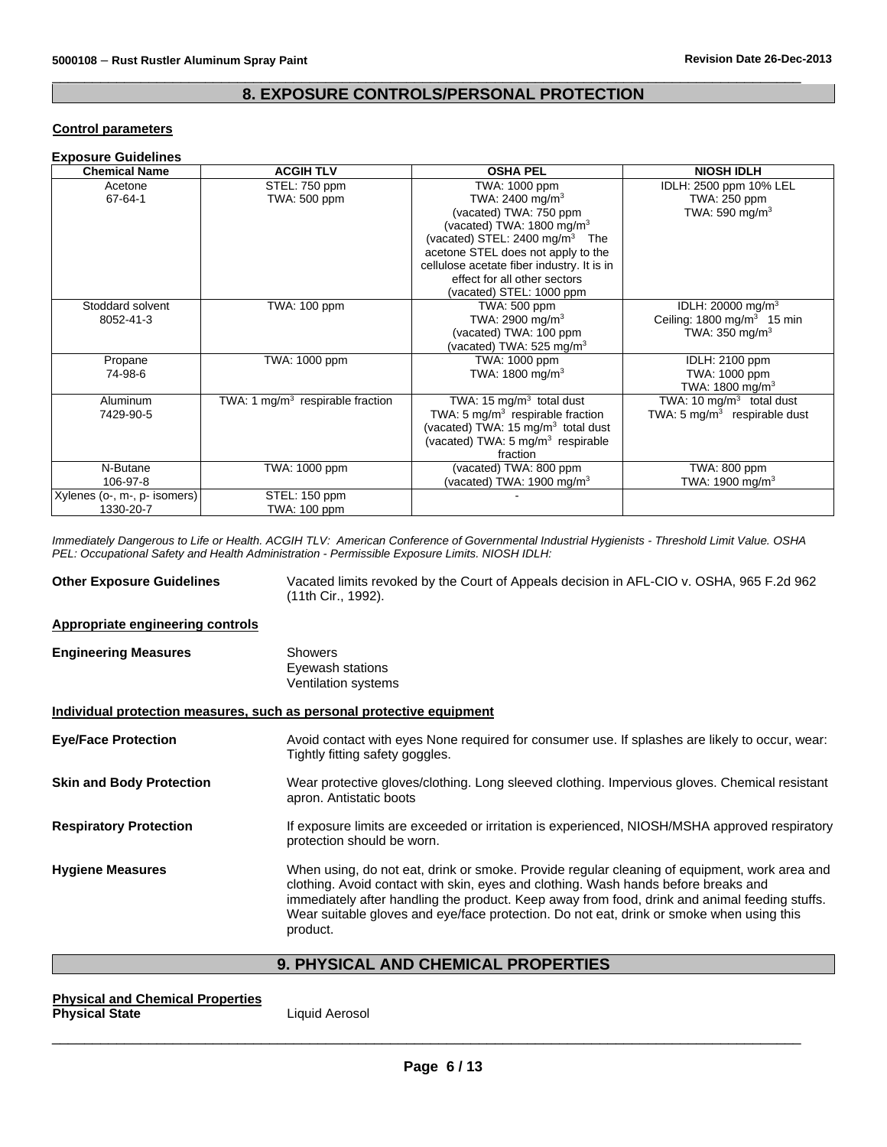# **8. EXPOSURE CONTROLS/PERSONAL PROTECTION**

 $\overline{\phantom{a}}$  , and the set of the set of the set of the set of the set of the set of the set of the set of the set of the set of the set of the set of the set of the set of the set of the set of the set of the set of the s

#### **Control parameters**

| <b>Exposure Guidelines</b>                |                                    |                                                                                                                                                                                                                                                                                 |                                                                                                     |
|-------------------------------------------|------------------------------------|---------------------------------------------------------------------------------------------------------------------------------------------------------------------------------------------------------------------------------------------------------------------------------|-----------------------------------------------------------------------------------------------------|
| <b>Chemical Name</b>                      | <b>ACGIH TLV</b>                   | <b>OSHA PEL</b>                                                                                                                                                                                                                                                                 | <b>NIOSH IDLH</b>                                                                                   |
| Acetone<br>$67 - 64 - 1$                  | STEL: 750 ppm<br>TWA: 500 ppm      | TWA: 1000 ppm<br>TWA: 2400 mg/m <sup>3</sup><br>(vacated) TWA: 750 ppm<br>(vacated) TWA: $1800 \text{ mg/m}^3$<br>(vacated) STEL: $2400 \text{ mg/m}^3$ The<br>acetone STEL does not apply to the<br>cellulose acetate fiber industry. It is in<br>effect for all other sectors | IDLH: 2500 ppm 10% LEL<br>TWA: 250 ppm<br>TWA: 590 mg/m <sup>3</sup>                                |
|                                           |                                    | (vacated) STEL: 1000 ppm                                                                                                                                                                                                                                                        |                                                                                                     |
| Stoddard solvent<br>8052-41-3             | TWA: 100 ppm                       | <b>TWA: 500 ppm</b><br>TWA: 2900 mg/m <sup>3</sup><br>(vacated) TWA: 100 ppm<br>(vacated) TWA: $525 \text{ mg/m}^3$                                                                                                                                                             | IDLH: 20000 mg/m <sup>3</sup><br>Ceiling: $1800 \text{ mg/m}^3$ 15 min<br>TWA: $350 \text{ mg/m}^3$ |
| Propane<br>74-98-6                        | TWA: 1000 ppm                      | TWA: 1000 ppm<br>TWA: 1800 mg/m <sup>3</sup>                                                                                                                                                                                                                                    | <b>IDLH: 2100 ppm</b><br>TWA: 1000 ppm<br>TWA: 1800 mg/m <sup>3</sup>                               |
| <b>Aluminum</b><br>7429-90-5              | TWA: 1 $mg/m3$ respirable fraction | TWA: 15 $mg/m3$ total dust<br>TWA: 5 mg/m <sup>3</sup> respirable fraction<br>(vacated) TWA: 15 mg/m <sup>3</sup> total dust<br>(vacated) TWA: 5 mg/m <sup>3</sup> respirable<br>fraction                                                                                       | TWA: 10 $mq/m3$ total dust<br>TWA: $5 \text{ mg/m}^3$ respirable dust                               |
| N-Butane<br>106-97-8                      | TWA: 1000 ppm                      | (vacated) TWA: 800 ppm<br>(vacated) TWA: 1900 mg/m $3$                                                                                                                                                                                                                          | TWA: 800 ppm<br>TWA: 1900 mg/m $3$                                                                  |
| Xylenes (o-, m-, p- isomers)<br>1330-20-7 | STEL: 150 ppm<br>TWA: 100 ppm      |                                                                                                                                                                                                                                                                                 |                                                                                                     |

*Immediately Dangerous to Life or Health. ACGIH TLV: American Conference of Governmental Industrial Hygienists - Threshold Limit Value. OSHA PEL: Occupational Safety and Health Administration - Permissible Exposure Limits. NIOSH IDLH:*

**Other Exposure Guidelines** Vacated limits revoked by the Court of Appeals decision in AFL-CIO v. OSHA, 965 F.2d 962 (11th Cir., 1992).

#### **Appropriate engineering controls**

| <b>Engineering Measures</b> | Showers                    |
|-----------------------------|----------------------------|
|                             | Eyewash stations           |
|                             | <b>Ventilation systems</b> |

#### **Individual protection measures, such as personal protective equipment**

**Eye/Face Protection** Avoid contact with eyes None required for consumer use. If splashes are likely to occur, wear: Tightly fitting safety goggles. **Skin and Body Protection** Wear protective gloves/clothing. Long sleeved clothing. Impervious gloves. Chemical resistant apron. Antistatic boots **Respiratory Protection** If exposure limits are exceeded or irritation is experienced, NIOSH/MSHA approved respiratory protection should be worn. **Hygiene Measures** When using, do not eat, drink or smoke. Provide regular cleaning of equipment, work area and clothing. Avoid contact with skin, eyes and clothing. Wash hands before breaks and immediately after handling the product. Keep away from food, drink and animal feeding stuffs. Wear suitable gloves and eye/face protection. Do not eat, drink or smoke when using this product.

### **9. PHYSICAL AND CHEMICAL PROPERTIES**

|                       |  | <b>Physical and Chemical Properties</b> |
|-----------------------|--|-----------------------------------------|
| <b>Physical State</b> |  |                                         |

**Physical State** Liquid Aerosol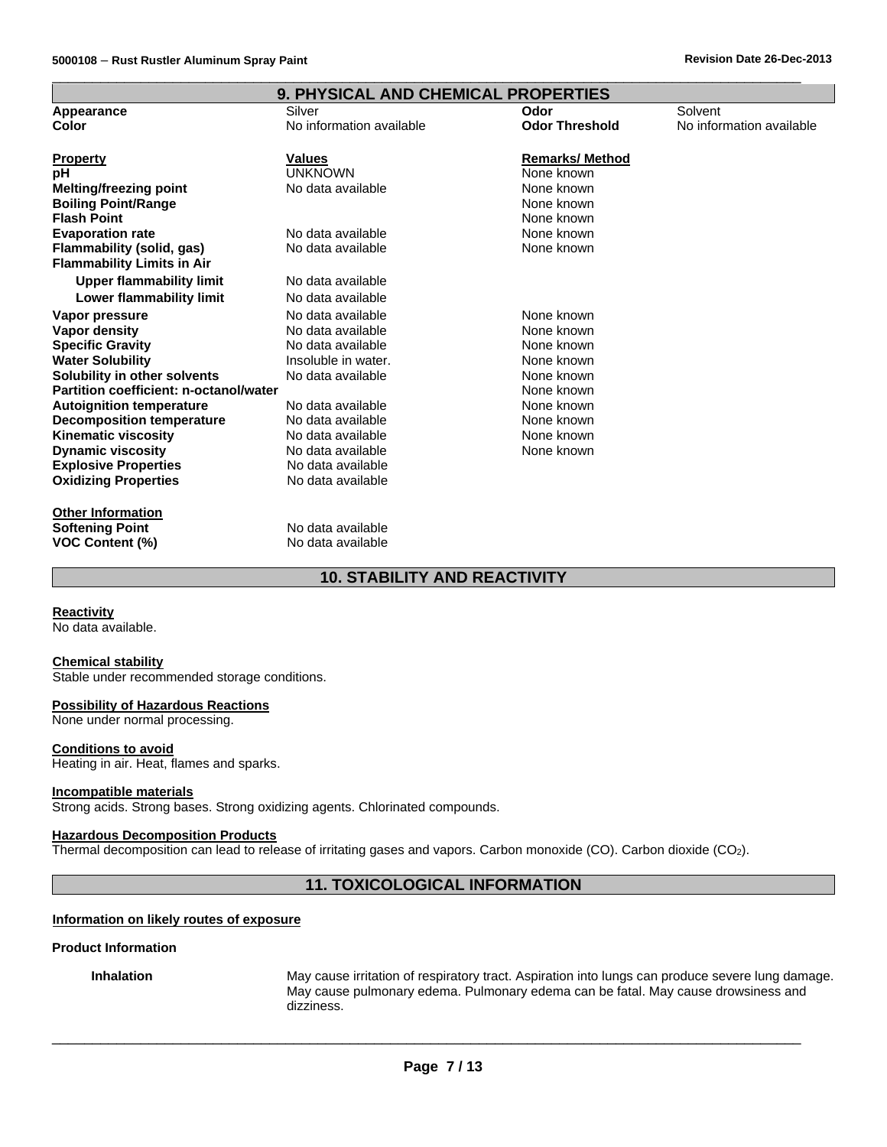| <b>9. PHYSICAL AND CHEMICAL PROPERTIES</b> |                          |                        |                          |
|--------------------------------------------|--------------------------|------------------------|--------------------------|
| Appearance                                 | Silver                   | Odor                   | Solvent                  |
| Color                                      | No information available | <b>Odor Threshold</b>  | No information available |
| <b>Property</b>                            | <b>Values</b>            | <b>Remarks/ Method</b> |                          |
| рH                                         | <b>UNKNOWN</b>           | None known             |                          |
| <b>Melting/freezing point</b>              | No data available        | None known             |                          |
| <b>Boiling Point/Range</b>                 |                          | None known             |                          |
| <b>Flash Point</b>                         |                          | None known             |                          |
| <b>Evaporation rate</b>                    | No data available        | None known             |                          |
| Flammability (solid, gas)                  | No data available        | None known             |                          |
| <b>Flammability Limits in Air</b>          |                          |                        |                          |
| <b>Upper flammability limit</b>            | No data available        |                        |                          |
| Lower flammability limit                   | No data available        |                        |                          |
| Vapor pressure                             | No data available        | None known             |                          |
| Vapor density                              | No data available        | None known             |                          |
| <b>Specific Gravity</b>                    | No data available        | None known             |                          |
| <b>Water Solubility</b>                    | Insoluble in water.      | None known             |                          |
| Solubility in other solvents               | No data available        | None known             |                          |
| Partition coefficient: n-octanol/water     |                          | None known             |                          |
| <b>Autoignition temperature</b>            | No data available        | None known             |                          |
| <b>Decomposition temperature</b>           | No data available        | None known             |                          |
| <b>Kinematic viscosity</b>                 | No data available        | None known             |                          |
| <b>Dynamic viscosity</b>                   | No data available        | None known             |                          |
| <b>Explosive Properties</b>                | No data available        |                        |                          |
| <b>Oxidizing Properties</b>                | No data available        |                        |                          |
| <b>Other Information</b>                   |                          |                        |                          |
| <b>Softening Point</b>                     | No data available        |                        |                          |
| <b>VOC Content (%)</b>                     | No data available        |                        |                          |

 $\overline{\phantom{a}}$  , and the set of the set of the set of the set of the set of the set of the set of the set of the set of the set of the set of the set of the set of the set of the set of the set of the set of the set of the s

# **10. STABILITY AND REACTIVITY**

#### **Reactivity**

No data available.

#### **Chemical stability**

Stable under recommended storage conditions.

#### **Possibility of Hazardous Reactions**

None under normal processing.

#### **Conditions to avoid**

Heating in air. Heat, flames and sparks.

#### **Incompatible materials**

Strong acids. Strong bases. Strong oxidizing agents. Chlorinated compounds.

### **Hazardous Decomposition Products**

Thermal decomposition can lead to release of irritating gases and vapors. Carbon monoxide (CO). Carbon dioxide (CO2).

# **11. TOXICOLOGICAL INFORMATION**

#### **Information on likely routes of exposure**

#### **Product Information**

**Inhalation** May cause irritation of respiratory tract. Aspiration into lungs can produce severe lung damage. May cause pulmonary edema. Pulmonary edema can be fatal. May cause drowsiness and dizziness.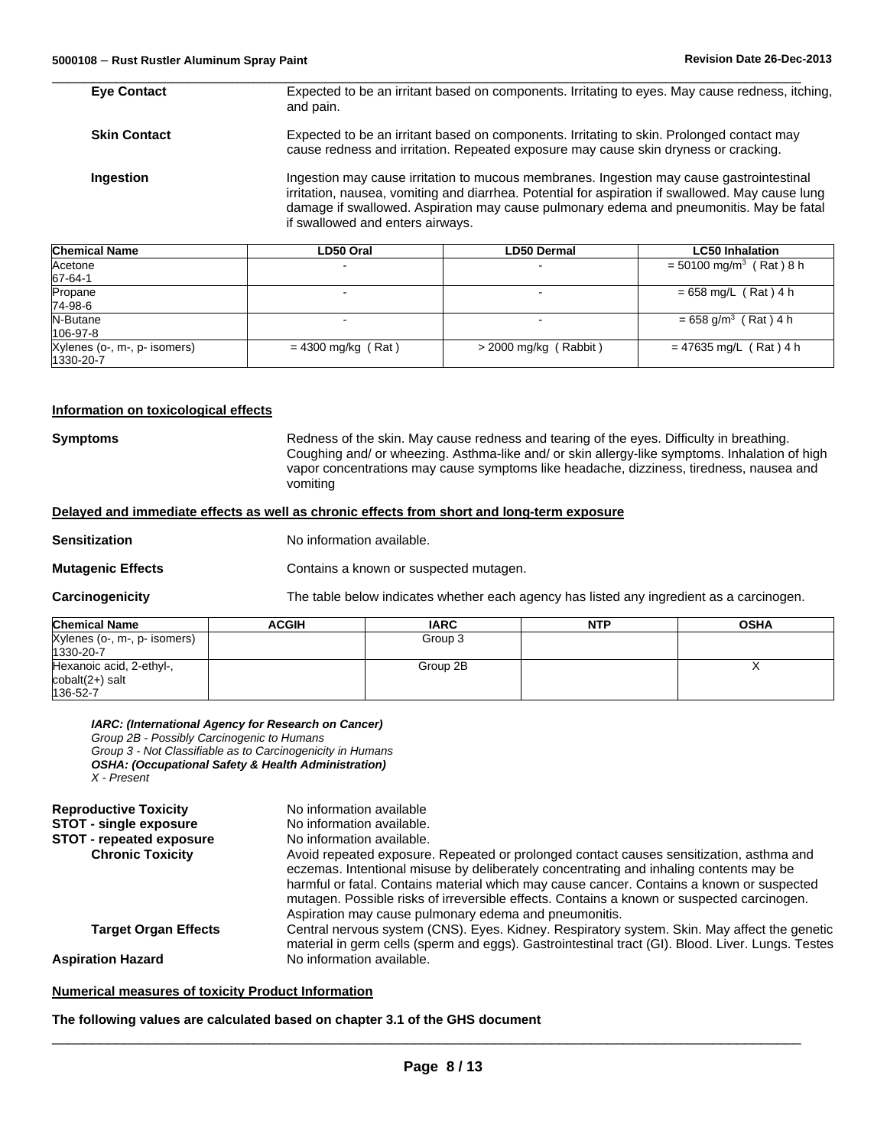| miaal klamaa        | <b>DEO Ovel</b>                                                                                              | <b>DEO</b> Develop                                                                                                                                                                                                                                                                                                          | l CEO Inhalation |  |
|---------------------|--------------------------------------------------------------------------------------------------------------|-----------------------------------------------------------------------------------------------------------------------------------------------------------------------------------------------------------------------------------------------------------------------------------------------------------------------------|------------------|--|
| Ingestion           |                                                                                                              | Ingestion may cause irritation to mucous membranes. Ingestion may cause gastrointestinal<br>irritation, nausea, vomiting and diarrhea. Potential for aspiration if swallowed. May cause lung<br>damage if swallowed. Aspiration may cause pulmonary edema and pneumonitis. May be fatal<br>if swallowed and enters airways. |                  |  |
| <b>Skin Contact</b> |                                                                                                              | Expected to be an irritant based on components. Irritating to skin. Prolonged contact may<br>cause redness and irritation. Repeated exposure may cause skin dryness or cracking.                                                                                                                                            |                  |  |
| <b>Eye Contact</b>  | Expected to be an irritant based on components. Irritating to eyes. May cause redness, itching,<br>and pain. |                                                                                                                                                                                                                                                                                                                             |                  |  |

 $\overline{\phantom{a}}$  , and the set of the set of the set of the set of the set of the set of the set of the set of the set of the set of the set of the set of the set of the set of the set of the set of the set of the set of the s

| <b>Chemical Name</b>         | LD50 Oral            | <b>LD50 Dermal</b>       | <b>LC50 Inhalation</b>                |
|------------------------------|----------------------|--------------------------|---------------------------------------|
| Acetone                      |                      |                          | $=$ 50100 mg/m <sup>3</sup> (Rat) 8 h |
| 67-64-1                      |                      |                          |                                       |
| Propane                      |                      | $\overline{\phantom{0}}$ | $= 658$ mg/L (Rat) 4 h                |
| 74-98-6                      |                      |                          |                                       |
| N-Butane                     |                      |                          | $= 658$ g/m <sup>3</sup> (Rat) 4 h    |
| 106-97-8                     |                      |                          |                                       |
| Xylenes (o-, m-, p- isomers) | $= 4300$ mg/kg (Rat) | $>$ 2000 mg/kg (Rabbit)  | $= 47635$ mg/L (Rat) 4 h              |
| 1330-20-7                    |                      |                          |                                       |

#### **Information on toxicological effects**

**Symptoms** Redness of the skin. May cause redness and tearing of the eyes. Difficulty in breathing. Coughing and/ or wheezing. Asthma-like and/ or skin allergy-like symptoms. Inhalation of high vapor concentrations may cause symptoms like headache, dizziness, tiredness, nausea and vomiting

#### **Delayed and immediate effects as well as chronic effects from short and long-term exposure**

**Sensitization** No information available.

**Mutagenic Effects Contains a known or suspected mutagen.** 

**Carcinogenicity** The table below indicates whether each agency has listed any ingredient as a carcinogen.

| <b>Chemical Name</b>         | <b>ACGIH</b> | <b>IARC</b> | <b>NTP</b> | <b>OSHA</b> |
|------------------------------|--------------|-------------|------------|-------------|
| Xylenes (o-, m-, p- isomers) |              | Group 3     |            |             |
| 1330-20-7                    |              |             |            |             |
| Hexanoic acid, 2-ethyl-,     |              | Group 2B    |            |             |
| $\text{cobalt}(2+)$ salt     |              |             |            |             |
| 136-52-7                     |              |             |            |             |

### *IARC: (International Agency for Research on Cancer)*

*Group 2B - Possibly Carcinogenic to Humans*

*Group 3 - Not Classifiable as to Carcinogenicity in Humans OSHA: (Occupational Safety & Health Administration) X - Present*

| <b>Reproductive Toxicity</b>    | No information available                                                                                                                                                                                                                                                                                                                                                                                                              |
|---------------------------------|---------------------------------------------------------------------------------------------------------------------------------------------------------------------------------------------------------------------------------------------------------------------------------------------------------------------------------------------------------------------------------------------------------------------------------------|
| <b>STOT - single exposure</b>   | No information available.                                                                                                                                                                                                                                                                                                                                                                                                             |
| <b>STOT - repeated exposure</b> | No information available.                                                                                                                                                                                                                                                                                                                                                                                                             |
| <b>Chronic Toxicity</b>         | Avoid repeated exposure. Repeated or prolonged contact causes sensitization, asthma and<br>eczemas. Intentional misuse by deliberately concentrating and inhaling contents may be<br>harmful or fatal. Contains material which may cause cancer. Contains a known or suspected<br>mutagen. Possible risks of irreversible effects. Contains a known or suspected carcinogen.<br>Aspiration may cause pulmonary edema and pneumonitis. |
| <b>Target Organ Effects</b>     | Central nervous system (CNS). Eyes. Kidney. Respiratory system. Skin. May affect the genetic<br>material in germ cells (sperm and eggs). Gastrointestinal tract (GI). Blood. Liver. Lungs. Testes                                                                                                                                                                                                                                     |
| <b>Aspiration Hazard</b>        | No information available.                                                                                                                                                                                                                                                                                                                                                                                                             |

#### **Numerical measures of toxicity Product Information**

### **The following values are calculated based on chapter 3.1 of the GHS document**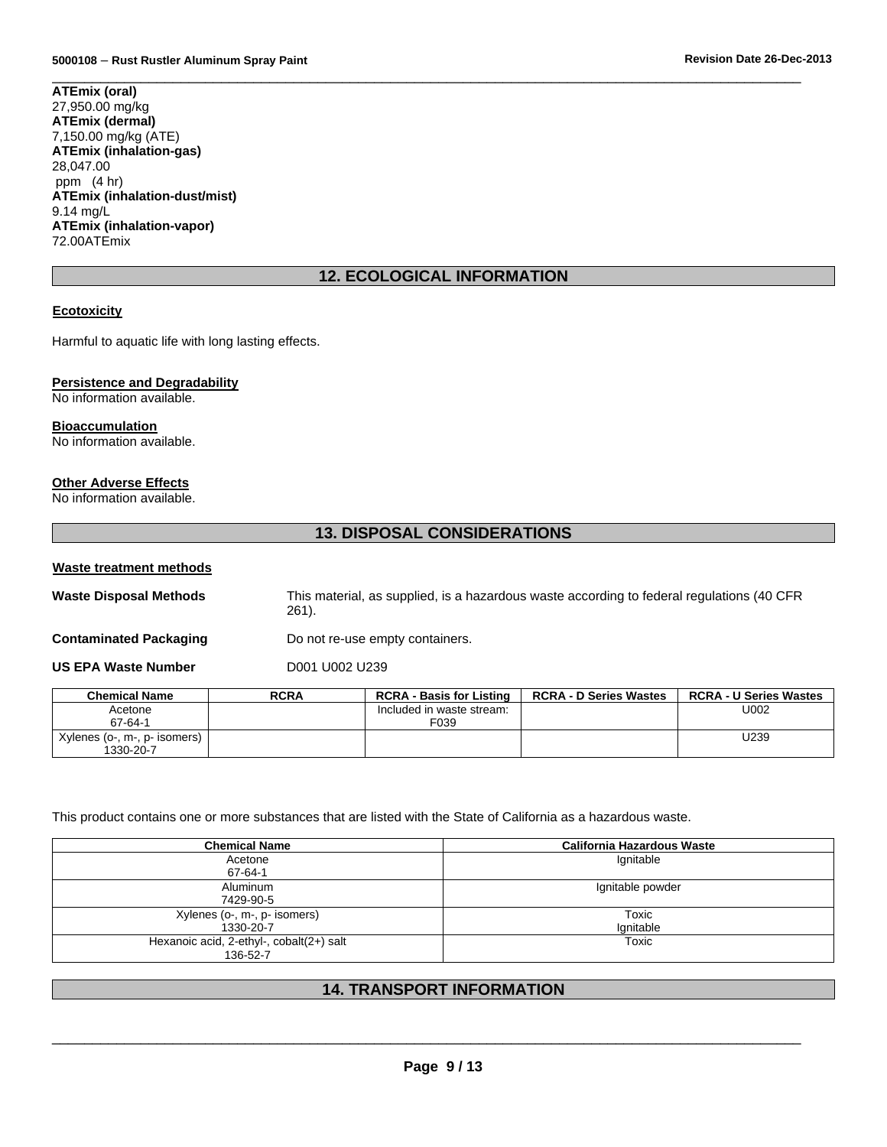$\overline{\phantom{a}}$  , and the set of the set of the set of the set of the set of the set of the set of the set of the set of the set of the set of the set of the set of the set of the set of the set of the set of the set of the s **ATEmix (oral)** 27,950.00 mg/kg **ATEmix (dermal)** 7,150.00 mg/kg (ATE) **ATEmix (inhalation-gas)** 28,047.00 ppm (4 hr) **ATEmix (inhalation-dust/mist)** 9.14 mg/L **ATEmix (inhalation-vapor)** 72.00ATEmix

# **12. ECOLOGICAL INFORMATION**

# **Ecotoxicity**

Harmful to aquatic life with long lasting effects.

#### **Persistence and Degradability**

No information available.

# **Bioaccumulation**

No information available.

### **Other Adverse Effects**

No information available.

# **13. DISPOSAL CONSIDERATIONS**

#### **Waste treatment methods**

**Waste Disposal Methods** This material, as supplied, is a hazardous waste according to federal regulations (40 CFR 261).

**Contaminated Packaging Theory Contaminated Packaging Containers.** 

**US EPA Waste Number** D001 U002 U239

| <b>Chemical Name</b>          | <b>RCRA</b> | <b>RCRA - Basis for Listing</b> | <b>RCRA - D Series Wastes</b> | <b>RCRA - U Series Wastes</b> |
|-------------------------------|-------------|---------------------------------|-------------------------------|-------------------------------|
| Acetone                       |             | Included in waste stream:       |                               | U002                          |
| 67-64-1                       |             | F <sub>0</sub> 39               |                               |                               |
| Xylenes (o , m , p - isomers) |             |                                 |                               | U239                          |
| 1330-20-7                     |             |                                 |                               |                               |

This product contains one or more substances that are listed with the State of California as a hazardous waste.

| <b>Chemical Name</b>                     | <b>California Hazardous Waste</b> |
|------------------------------------------|-----------------------------------|
| Acetone                                  | Ignitable                         |
| 67-64-1                                  |                                   |
| Aluminum                                 | Ignitable powder                  |
| 7429-90-5                                |                                   |
| Xylenes (o-, m-, p- isomers)             | Toxic                             |
| 1330-20-7                                | Ignitable                         |
| Hexanoic acid, 2-ethyl-, cobalt(2+) salt | Toxic                             |
| 136-52-7                                 |                                   |

# **14. TRANSPORT INFORMATION**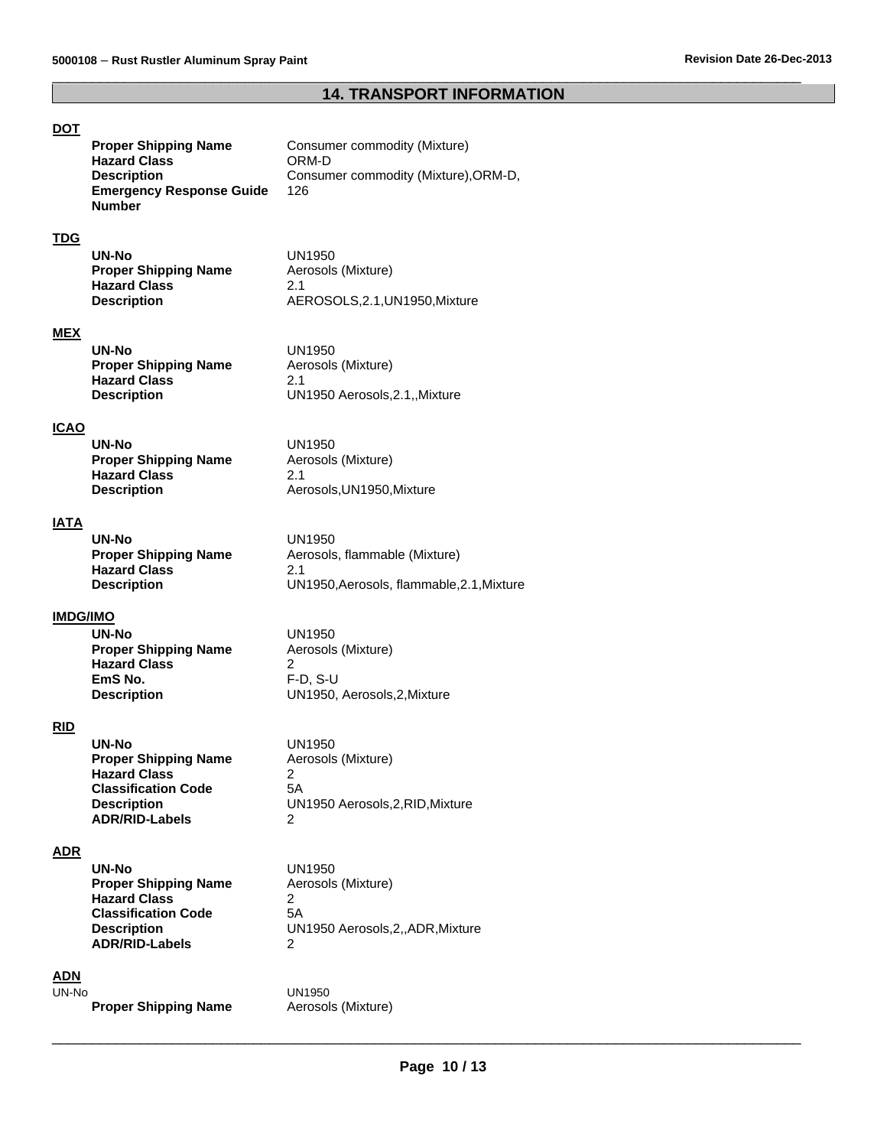# **14. TRANSPORT INFORMATION**

 $\overline{\phantom{a}}$  , and the set of the set of the set of the set of the set of the set of the set of the set of the set of the set of the set of the set of the set of the set of the set of the set of the set of the set of the s

# **DOT**

**Proper Commodity (Mixture)**<br>ORM-D **Proper Shipping Name<br>Hazard Class<br>Description** Consumer commodity (Mixture), ORM-D, **Emergency Response Guide Number**  126

# **TDG**

| UN1950                      |
|-----------------------------|
| Aerosols (Mixture)          |
| 21                          |
| AEROSOLS.2.1.UN1950.Mixture |
|                             |

# **MEX**

| UN-No                | UN1950                        |
|----------------------|-------------------------------|
| Proper Shipping Name | Aerosols (Mixture)            |
| <b>Hazard Class</b>  | 21                            |
| Description          | UN1950 Aerosols, 2.1, Mixture |

#### **ICAO**

| UN-No                       | UN1950                    |
|-----------------------------|---------------------------|
| <b>Proper Shipping Name</b> | Aerosols (Mixture)        |
| <b>Hazard Class</b>         | 2.1                       |
| <b>Description</b>          | Aerosols, UN1950, Mixture |

#### **IATA**

| UN-No                       | UN1950                                 |
|-----------------------------|----------------------------------------|
| <b>Proper Shipping Name</b> | Aerosols, flammable (Mixture)          |
| <b>Hazard Class</b>         | 21                                     |
| <b>Description</b>          | UN1950.Aerosols. flammable.2.1.Mixture |

### **IMDG/IMO**

| UN-No                       | UN1950                       |
|-----------------------------|------------------------------|
| <b>Proper Shipping Name</b> | Aerosols (Mixture)           |
| <b>Hazard Class</b>         |                              |
| EmS No.                     | $F-D. S-U$                   |
| <b>Description</b>          | UN1950, Aerosols, 2, Mixture |

### **RID**

| UN-No                       | UN1950                           |
|-----------------------------|----------------------------------|
| <b>Proper Shipping Name</b> | Aerosols (Mixture)               |
| <b>Hazard Class</b>         | 2                                |
| <b>Classification Code</b>  | 5Α                               |
| <b>Description</b>          | UN1950 Aerosols, 2, RID, Mixture |
| <b>ADR/RID-Labels</b>       | 2                                |

### **ADR**

| UN-No                       | UN1950                           |
|-----------------------------|----------------------------------|
| <b>Proper Shipping Name</b> | Aerosols (Mixture)               |
| <b>Hazard Class</b>         |                                  |
| <b>Classification Code</b>  | 5Α                               |
| <b>Description</b>          | UN1950 Aerosols, 2, ADR, Mixture |
| <b>ADR/RID-Labels</b>       | 2                                |
|                             |                                  |

# **ADN**

**Proper Shipping Name** 

UN1950<br>Aerosols (Mixture)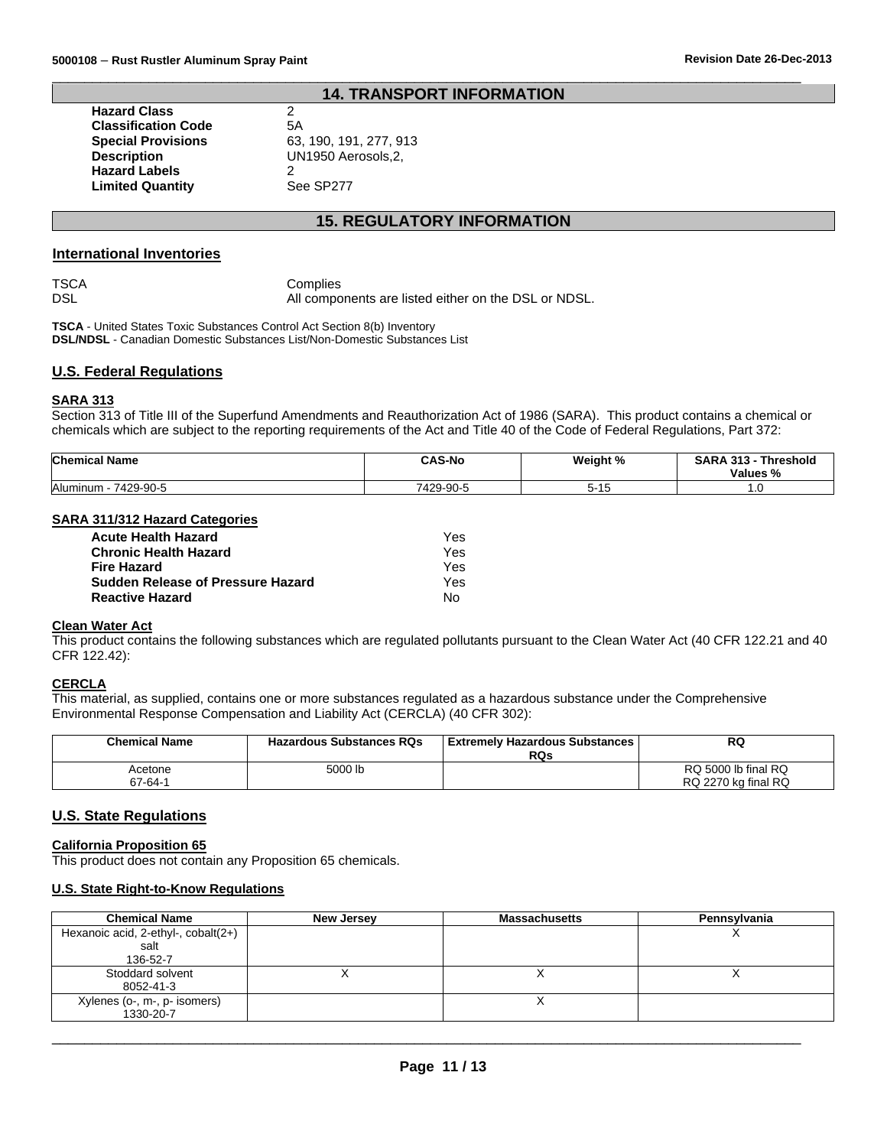# **14. TRANSPORT INFORMATION**

 $\overline{\phantom{a}}$  , and the set of the set of the set of the set of the set of the set of the set of the set of the set of the set of the set of the set of the set of the set of the set of the set of the set of the set of the s

**Hazard Class** 2<br>**Classification Code** 5A **Classification Code**<br>**Special Provisions Description** UN1950 Aerosols,2, **Hazard Labels** 2 **Limited Quantity** See SP277

**Special Provisions** 63, 190, 191, 277, 913

# **15. REGULATORY INFORMATION**

#### **International Inventories**

TSCA Complies<br>DSL All compo All components are listed either on the DSL or NDSL.

**TSCA** - United States Toxic Substances Control Act Section 8(b) Inventory **DSL/NDSL** - Canadian Domestic Substances List/Non-Domestic Substances List

#### **U.S. Federal Regulations**

#### **SARA 313**

Section 313 of Title III of the Superfund Amendments and Reauthorization Act of 1986 (SARA). This product contains a chemical or chemicals which are subject to the reporting requirements of the Act and Title 40 of the Code of Federal Regulations, Part 372:

| <b>Chemical Name</b>  | <b>CAS-No</b> | Weight %     | <b>SARA</b><br>242<br><b>Threshold</b><br>-315<br>Values % |
|-----------------------|---------------|--------------|------------------------------------------------------------|
| Aluminum<br>7429-90-5 | 7429-90-5     | . AF<br>כו-כ | $\cdot\,$                                                  |

#### **SARA 311/312 Hazard Categories**

| <b>Acute Health Hazard</b>        | Yes |
|-----------------------------------|-----|
| <b>Chronic Health Hazard</b>      | Yes |
| Fire Hazard                       | Yes |
| Sudden Release of Pressure Hazard | Yes |
| <b>Reactive Hazard</b>            | N٥  |

#### **Clean Water Act**

This product contains the following substances which are regulated pollutants pursuant to the Clean Water Act (40 CFR 122.21 and 40 CFR 122.42):

#### **CERCLA**

This material, as supplied, contains one or more substances regulated as a hazardous substance under the Comprehensive Environmental Response Compensation and Liability Act (CERCLA) (40 CFR 302):

| <b>Chemical Name</b> | <b>Hazardous Substances RQs</b> | l Extremelv Hazardous Substances<br><b>RQs</b> | RQ                                         |
|----------------------|---------------------------------|------------------------------------------------|--------------------------------------------|
| Acetone<br>67-64-1   | 5000 lb                         |                                                | RQ 5000 lb final RQ<br>RQ 2270 kg final RQ |

# **U.S. State Regulations**

#### **California Proposition 65**

This product does not contain any Proposition 65 chemicals.

#### **U.S. State Right-to-Know Regulations**

| <b>Chemical Name</b>                | New Jersey | <b>Massachusetts</b> | Pennsylvania |
|-------------------------------------|------------|----------------------|--------------|
| Hexanoic acid, 2-ethyl-, cobalt(2+) |            |                      |              |
| salt                                |            |                      |              |
| 136-52-7                            |            |                      |              |
| Stoddard solvent                    |            |                      |              |
| 8052-41-3                           |            |                      |              |
| Xylenes (o-, m-, p- isomers)        |            |                      |              |
| 1330-20-7                           |            |                      |              |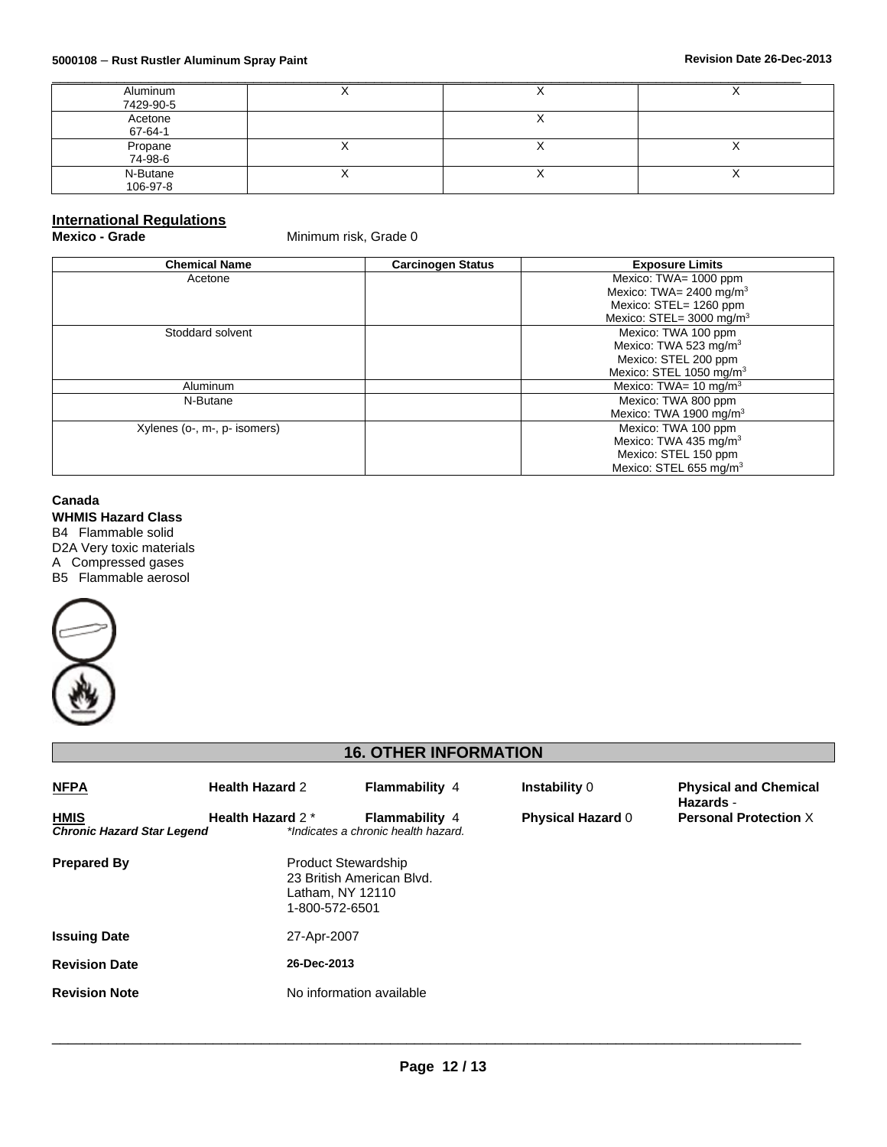| Aluminum           |    |                          |           |
|--------------------|----|--------------------------|-----------|
| 7429-90-5          |    |                          |           |
| Acetone            |    |                          |           |
| 67-64-1            |    |                          |           |
| Propane<br>74-98-6 |    |                          |           |
|                    |    |                          |           |
| N-Butane           | ,, | $\overline{\phantom{a}}$ | $\lambda$ |
| 106-97-8           |    |                          |           |

# **International Regulations**

**Minimum risk, Grade 0** 

| <b>Chemical Name</b>         | <b>Carcinogen Status</b> | <b>Exposure Limits</b>              |
|------------------------------|--------------------------|-------------------------------------|
| Acetone                      |                          | Mexico: TWA= 1000 ppm               |
|                              |                          | Mexico: TWA= 2400 mg/m <sup>3</sup> |
|                              |                          | Mexico: STEL= 1260 ppm              |
|                              |                          | Mexico: STEL= $3000 \text{ mg/m}^3$ |
| Stoddard solvent             |                          | Mexico: TWA 100 ppm                 |
|                              |                          | Mexico: TWA 523 mg/m <sup>3</sup>   |
|                              |                          | Mexico: STEL 200 ppm                |
|                              |                          | Mexico: STEL 1050 mg/m <sup>3</sup> |
| Aluminum                     |                          | Mexico: TWA= $10 \text{ mg/m}^3$    |
| N-Butane                     |                          | Mexico: TWA 800 ppm                 |
|                              |                          | Mexico: TWA 1900 mg/m <sup>3</sup>  |
| Xylenes (o-, m-, p- isomers) |                          | Mexico: TWA 100 ppm                 |
|                              |                          | Mexico: TWA 435 mg/m <sup>3</sup>   |
|                              |                          | Mexico: STEL 150 ppm                |
|                              |                          | Mexico: STEL 655 mg/m <sup>3</sup>  |

# **Canada**

**WHMIS Hazard Class** B4 Flammable solid D2A Very toxic materials A Compressed gases B5 Flammable aerosol



# **16. OTHER INFORMATION**

| <u>NFPA</u>                                      | <b>Health Hazard 2</b>                                           | <b>Flammability 4</b>                                        | <b>Instability 0</b>     | <b>Physical and Chemical</b><br>Hazards - |
|--------------------------------------------------|------------------------------------------------------------------|--------------------------------------------------------------|--------------------------|-------------------------------------------|
| <b>HMIS</b><br><b>Chronic Hazard Star Legend</b> | Health Hazard 2*                                                 | <b>Flammability 4</b><br>*Indicates a chronic health hazard. | <b>Physical Hazard 0</b> | <b>Personal Protection X</b>              |
| <b>Prepared By</b>                               | <b>Product Stewardship</b><br>Latham, NY 12110<br>1-800-572-6501 | 23 British American Blvd.                                    |                          |                                           |
| <b>Issuing Date</b>                              | 27-Apr-2007                                                      |                                                              |                          |                                           |
| <b>Revision Date</b>                             | 26-Dec-2013                                                      |                                                              |                          |                                           |
| <b>Revision Note</b>                             |                                                                  | No information available                                     |                          |                                           |